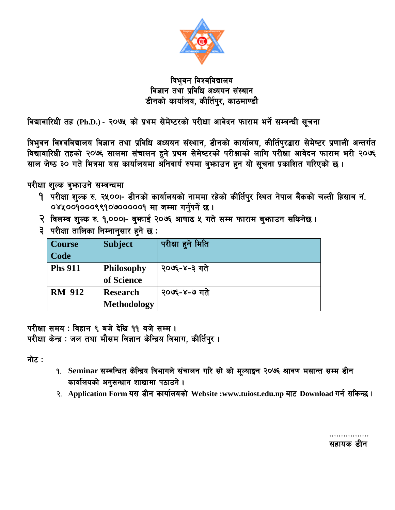

## त्रिभुवन विश्वविद्यालय विज्ञान तथा प्रविधि अध्ययन संस्थान डीनको कार्यालय, कीर्तिपुर, काठमाण्डौ

विद्यावारिधी तह (Ph.D.) - २०७५ को प्रथम सेमेष्टरको परीक्षा आवेदन फाराम भर्ने सम्बन्धी सूचना

त्रिभुवन विश्वविद्यालय विज्ञान तथा प्रविधि अध्ययन संस्थान, डीनको कार्यालय, कीर्तिपुरद्धारा सेमेष्टर प्रणाली अन्तर्गत विद्यावारिधी तहको २०७६ सालमा संचालन हुने प्रथम सेमेष्टरको परीक्षाको लागि परीक्षा आवेदन फाराम भरी २०७६ साल जेष्ठ ३० गते भित्रमा यस कार्यालयमा अनिवार्य रुपमा बुभ्जाउन हुन यो सूचना प्रकाशित गरिएको छ।

परीक्षा शुल्क बुभाउने सम्बन्धमा

- 9 परीक्षा शुल्क रु. २५००१- डीनको कार्यालयको नाममा रहेको कीर्तिपुर स्थित नेपाल बैंकको चल्ती हिसाव नं. ०४५००१०००९९१०७०००००१ मा जम्मा गर्नुपर्ने छ।
- २ विलम्ब शुल्क रु. १,०००।- बुफाई २०७६ आषाढ ५ गते सम्म फाराम बुफाउन सकिनेछ।
- ३ परीक्षा तालिका निम्नानसार हुने छ:

| <b>Course</b>  | <b>Subject</b>     | परीक्षा हुने मिति |
|----------------|--------------------|-------------------|
| Code           |                    |                   |
| <b>Phs 911</b> | <b>Philosophy</b>  | २०७६-४-३ गते      |
|                | of Science         |                   |
| <b>RM 912</b>  | <b>Research</b>    | २०७६-४-७ गते      |
|                | <b>Methodology</b> |                   |

परीक्षा समय : विहान ९ बजे देखि ११ बजे सम्म । परीक्षा केन्द्र : जल तथा मौसम विज्ञान केन्द्रिय विभाग, कीर्तिपुर।

नोट :

- १. Seminar सम्बन्धित केन्द्रिय विभागले संचालन गरि सो को मूल्याङ्मन २०७६ श्रावण मसान्त सम्म डीन कार्यालयको अनुसन्धान शाखामा पठाउने।
- २. Application Form यस डीन कार्यालयको Website:www.tuiost.edu.np बाट Download गर्न सकिन्छ।

सहायक डीन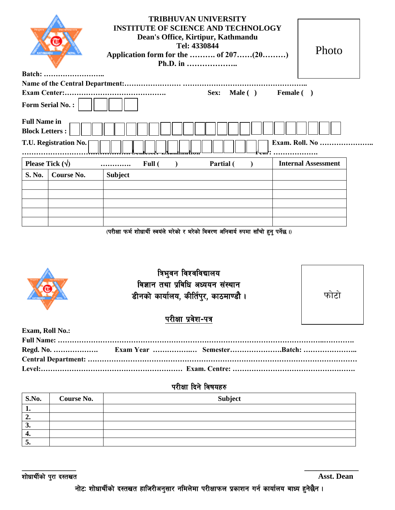|                                              | <b>INSTITUTE OF SCIENCE AND TECHNOLOGY</b><br>Photo<br>Application form for the  of 207(20) |                            |
|----------------------------------------------|---------------------------------------------------------------------------------------------|----------------------------|
| <b>Batch:</b>                                |                                                                                             |                            |
|                                              |                                                                                             |                            |
| <b>Exam Center:.</b>                         | Sex: Male ( ) Female ( )                                                                    |                            |
| <b>Form Serial No.:</b>                      |                                                                                             |                            |
| <b>Full Name in</b><br><b>Block Letters:</b> |                                                                                             |                            |
| T.U. Registration No.                        |                                                                                             | <b>Exam. Roll. No </b>     |
| Please Tick $(\forall)$                      | Partial (<br>Full (                                                                         | <b>Internal Assessment</b> |
| S. No.<br>Course No.                         | <b>Subject</b>                                                                              |                            |
|                                              |                                                                                             |                            |
|                                              |                                                                                             |                            |
|                                              |                                                                                             |                            |
|                                              |                                                                                             |                            |
|                                              |                                                                                             |                            |

 $\epsilon$  (परीक्षा फर्म शोधार्थी स्वयंले भरेको र भरेको विवरण अनिवार्य रुपमा साँचो हुनु पर्नेछ ।)



| <b>S.No.</b> | <b>Course No.</b> | Subject |
|--------------|-------------------|---------|
| . .          |                   |         |
| "            |                   |         |
| J.           |                   |         |
| −.           |                   |         |
| ູ            |                   |         |

**\_\_\_\_\_\_\_\_\_\_\_\_\_\_ \_\_\_\_\_\_\_\_\_\_\_\_\_\_**

zf]wfyL{sf] k'/f b:tvt **Asst. Dean**

नोटः शोधार्थीको दस्तखत हाजिरीअनुसार नमिलेमा परीक्षाफल प्रकाशन गर्न कार्यालय बाध्य हुनेछैन ।